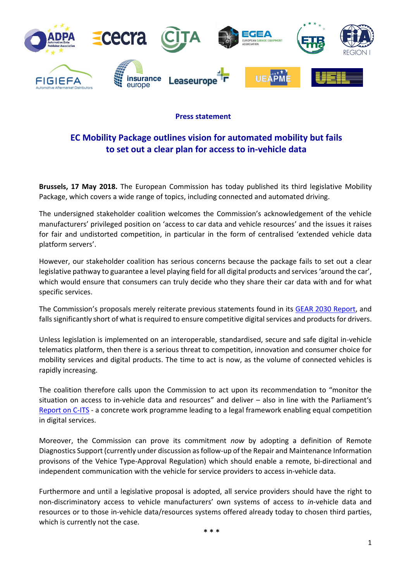

## **Press statement**

## **EC Mobility Package outlines vision for automated mobility but fails to set out a clear plan for access to in-vehicle data**

**Brussels, 17 May 2018.** The European Commission has today published its third legislative Mobility Package, which covers a wide range of topics, including connected and automated driving.

The undersigned stakeholder coalition welcomes the Commission's acknowledgement of the vehicle manufacturers' privileged position on 'access to car data and vehicle resources' and the issues it raises for fair and undistorted competition, in particular in the form of centralised 'extended vehicle data platform servers'.

However, our stakeholder coalition has serious concerns because the package fails to set out a clear legislative pathway to guarantee a level playing field for all digital products and services 'around the car', which would ensure that consumers can truly decide who they share their car data with and for what specific services.

The Commission's proposals merely reiterate previous statements found in its [GEAR 2030 Report,](file://///192.168.56.231/Data/GEAR%202030/Final%20Report/Report%20-%20Final/GEAR%202030%20-%20Report%20%20and%20annexes%20pdf.pdf) and falls significantly short of what is required to ensure competitive digital services and products for drivers.

Unless legislation is implemented on an interoperable, standardised, secure and safe digital in-vehicle telematics platform, then there is a serious threat to competition, innovation and consumer choice for mobility services and digital products. The time to act is now, as the volume of connected vehicles is rapidly increasing.

The coalition therefore calls upon the Commission to act upon its recommendation to "monitor the situation on access to in-vehicle data and resources" and deliver – also in line with the Parliament's [Report on C-ITS](file://///192.168.56.231/Data/eCall%20-%20Telematics/ITS/C-ITS/EP%20own%20initiative/LEX%20-%20%20Final%20report/C-ITS%20-%20Final%20report%20-%20Plenary.pdf) - a concrete work programme leading to a legal framework enabling equal competition in digital services.

Moreover, the Commission can prove its commitment *now* by adopting a definition of Remote Diagnostics Support (currently under discussion as follow-up of the Repair and Maintenance Information provisons of the Vehice Type-Approval Regulation) which should enable a remote, bi-directional and independent communication with the vehicle for service providers to access in-vehicle data.

Furthermore and until a legislative proposal is adopted, all service providers should have the right to non-discriminatory access to vehicle manufacturers' own systems of access to *in*-vehicle data and resources or to those in-vehicle data/resources systems offered already today to chosen third parties, which is currently not the case.

**\* \* \***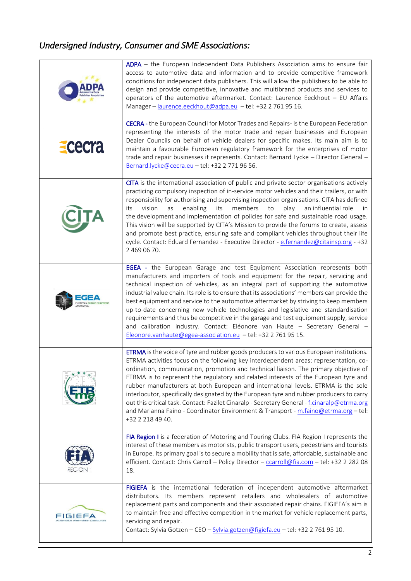## *Undersigned Industry, Consumer and SME Associations:*

|         | ADPA - the European Independent Data Publishers Association aims to ensure fair<br>access to automotive data and information and to provide competitive framework<br>conditions for independent data publishers. This will allow the publishers to be able to<br>design and provide competitive, innovative and multibrand products and services to<br>operators of the automotive aftermarket. Contact: Laurence Eeckhout - EU Affairs<br>Manager - laurence.eeckhout@adpa.eu - tel: +32 2 761 95 16.                                                                                                                                                                                                                                                                          |
|---------|---------------------------------------------------------------------------------------------------------------------------------------------------------------------------------------------------------------------------------------------------------------------------------------------------------------------------------------------------------------------------------------------------------------------------------------------------------------------------------------------------------------------------------------------------------------------------------------------------------------------------------------------------------------------------------------------------------------------------------------------------------------------------------|
| Ececra  | CECRA - the European Council for Motor Trades and Repairs- is the European Federation<br>representing the interests of the motor trade and repair businesses and European<br>Dealer Councils on behalf of vehicle dealers for specific makes. Its main aim is to<br>maintain a favourable European regulatory framework for the enterprises of motor<br>trade and repair businesses it represents. Contact: Bernard Lycke - Director General -<br>Bernard.lycke@cecra.eu - tel: +32 2 771 96 56.                                                                                                                                                                                                                                                                                |
|         | CITA is the international association of public and private sector organisations actively<br>practicing compulsory inspection of in-service motor vehicles and their trailers, or with<br>responsibility for authorising and supervising inspection organisations. CITA has defined<br>enabling<br>vision<br>its<br>members<br>play<br>an influential role<br>its<br>as<br>to<br><i>in</i><br>the development and implementation of policies for safe and sustainable road usage.<br>This vision will be supported by CITA's Mission to provide the forums to create, assess<br>and promote best practice, ensuring safe and compliant vehicles throughout their life<br>cycle. Contact: Eduard Fernandez - Executive Director - e.fernandez@citainsp.org - +32<br>2 469 06 70. |
|         | EGEA - the European Garage and test Equipment Association represents both<br>manufacturers and importers of tools and equipment for the repair, servicing and<br>technical inspection of vehicles, as an integral part of supporting the automotive<br>industrial value chain. Its role is to ensure that its associations' members can provide the<br>best equipment and service to the automotive aftermarket by striving to keep members<br>up-to-date concerning new vehicle technologies and legislative and standardisation<br>requirements and thus be competitive in the garage and test equipment supply, service<br>and calibration industry. Contact: Eléonore van Haute - Secretary General -<br>Eleonore.vanhaute@egea-association.eu - tel: +32 2 761 95 15.      |
|         | ETRMA is the voice of tyre and rubber goods producers to various European institutions.<br>ETRMA activities focus on the following key interdependent areas: representation, co-<br>ordination, communication, promotion and technical liaison. The primary objective of<br>ETRMA is to represent the regulatory and related interests of the European tyre and<br>rubber manufacturers at both European and international levels. ETRMA is the sole<br>interlocutor, specifically designated by the European tyre and rubber producers to carry<br>out this critical task. Contact: Fazilet Cinaralp - Secretary General - f.cinaralp@etrma.org<br>and Marianna Faino - Coordinator Environment & Transport - m.faino@etrma.org - tel:<br>+32 2 218 49 40.                     |
| REGION  | FIA Region I is a federation of Motoring and Touring Clubs. FIA Region I represents the<br>interest of these members as motorists, public transport users, pedestrians and tourists<br>in Europe. Its primary goal is to secure a mobility that is safe, affordable, sustainable and<br>efficient. Contact: Chris Carroll - Policy Director - ccarroll@fia.com - tel: +32 2 282 08<br>18.                                                                                                                                                                                                                                                                                                                                                                                       |
| FIGIEFA | FIGIEFA is the international federation of independent automotive aftermarket<br>distributors. Its members represent retailers and wholesalers of automotive<br>replacement parts and components and their associated repair chains. FIGIEFA's aim is<br>to maintain free and effective competition in the market for vehicle replacement parts,<br>servicing and repair.<br>Contact: Sylvia Gotzen - CEO - Sylvia.gotzen@figiefa.eu - tel: +32 2 761 95 10.                                                                                                                                                                                                                                                                                                                    |